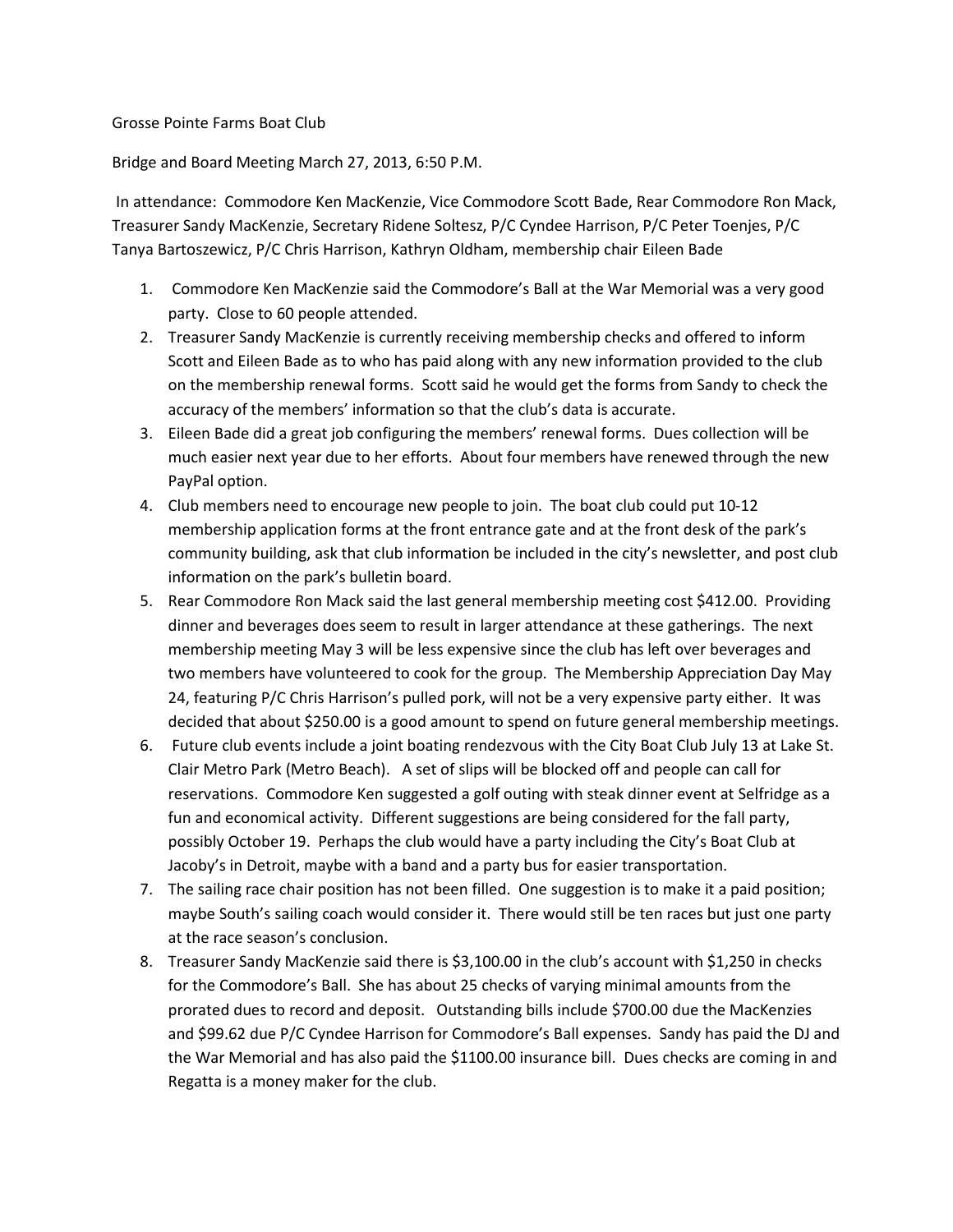## Grosse Pointe Farms Boat Club

## Bridge and Board Meeting March 27, 2013, 6:50 P.M.

In attendance: Commodore Ken MacKenzie, Vice Commodore Scott Bade, Rear Commodore Ron Mack, Treasurer Sandy MacKenzie, Secretary Ridene Soltesz, P/C Cyndee Harrison, P/C Peter Toenjes, P/C Tanya Bartoszewicz, P/C Chris Harrison, Kathryn Oldham, membership chair Eileen Bade

- 1. Commodore Ken MacKenzie said the Commodore's Ball at the War Memorial was a very good party. Close to 60 people attended.
- 2. Treasurer Sandy MacKenzie is currently receiving membership checks and offered to inform Scott and Eileen Bade as to who has paid along with any new information provided to the club on the membership renewal forms. Scott said he would get the forms from Sandy to check the accuracy of the members' information so that the club's data is accurate.
- 3. Eileen Bade did a great job configuring the members' renewal forms. Dues collection will be much easier next year due to her efforts. About four members have renewed through the new PayPal option.
- 4. Club members need to encourage new people to join. The boat club could put 10-12 membership application forms at the front entrance gate and at the front desk of the park's community building, ask that club information be included in the city's newsletter, and post club information on the park's bulletin board.
- 5. Rear Commodore Ron Mack said the last general membership meeting cost \$412.00. Providing dinner and beverages does seem to result in larger attendance at these gatherings. The next membership meeting May 3 will be less expensive since the club has left over beverages and two members have volunteered to cook for the group. The Membership Appreciation Day May 24, featuring P/C Chris Harrison's pulled pork, will not be a very expensive party either. It was decided that about \$250.00 is a good amount to spend on future general membership meetings.
- 6. Future club events include a joint boating rendezvous with the City Boat Club July 13 at Lake St. Clair Metro Park (Metro Beach). A set of slips will be blocked off and people can call for reservations. Commodore Ken suggested a golf outing with steak dinner event at Selfridge as a fun and economical activity. Different suggestions are being considered for the fall party, possibly October 19. Perhaps the club would have a party including the City's Boat Club at Jacoby's in Detroit, maybe with a band and a party bus for easier transportation.
- 7. The sailing race chair position has not been filled. One suggestion is to make it a paid position; maybe South's sailing coach would consider it. There would still be ten races but just one party at the race season's conclusion.
- 8. Treasurer Sandy MacKenzie said there is \$3,100.00 in the club's account with \$1,250 in checks for the Commodore's Ball. She has about 25 checks of varying minimal amounts from the prorated dues to record and deposit. Outstanding bills include \$700.00 due the MacKenzies and \$99.62 due P/C Cyndee Harrison for Commodore's Ball expenses. Sandy has paid the DJ and the War Memorial and has also paid the \$1100.00 insurance bill. Dues checks are coming in and Regatta is a money maker for the club.